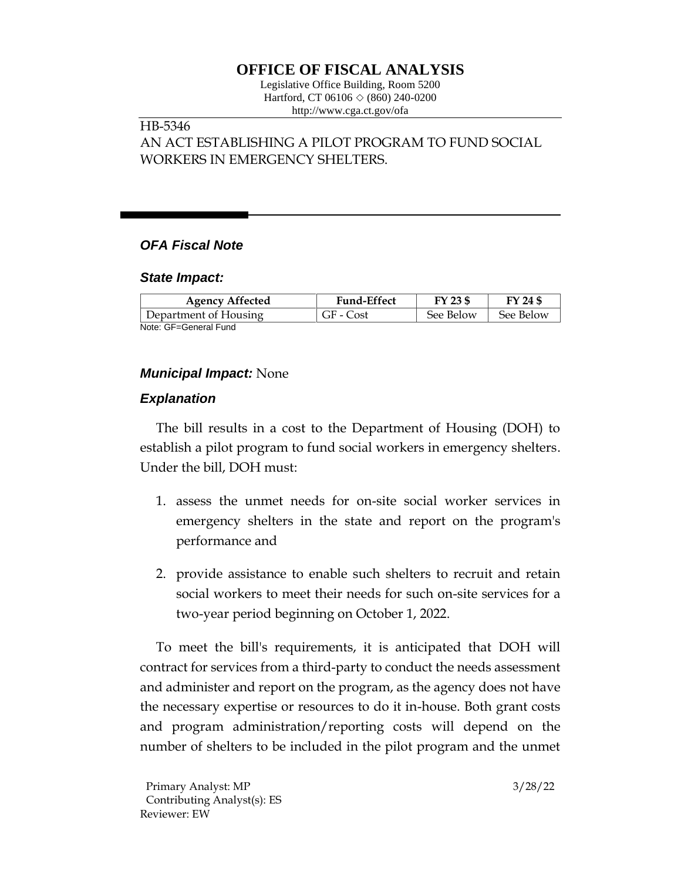# **OFFICE OF FISCAL ANALYSIS**

Legislative Office Building, Room 5200 Hartford, CT 06106  $\Diamond$  (860) 240-0200 http://www.cga.ct.gov/ofa

### HB-5346 AN ACT ESTABLISHING A PILOT PROGRAM TO FUND SOCIAL WORKERS IN EMERGENCY SHELTERS.

## *OFA Fiscal Note*

#### *State Impact:*

| <b>Agency Affected</b> | <b>Fund-Effect</b> | FY 23 \$  | FY 24 \$  |
|------------------------|--------------------|-----------|-----------|
| Department of Housing  | GF - Cost          | See Below | See Below |
| Note: GF=General Fund  |                    |           |           |

## *Municipal Impact:* None

## *Explanation*

The bill results in a cost to the Department of Housing (DOH) to establish a pilot program to fund social workers in emergency shelters. Under the bill, DOH must:

- 1. assess the unmet needs for on-site social worker services in emergency shelters in the state and report on the program's performance and
- 2. provide assistance to enable such shelters to recruit and retain social workers to meet their needs for such on-site services for a two-year period beginning on October 1, 2022.

To meet the bill's requirements, it is anticipated that DOH will contract for services from a third-party to conduct the needs assessment and administer and report on the program, as the agency does not have the necessary expertise or resources to do it in-house. Both grant costs and program administration/reporting costs will depend on the number of shelters to be included in the pilot program and the unmet